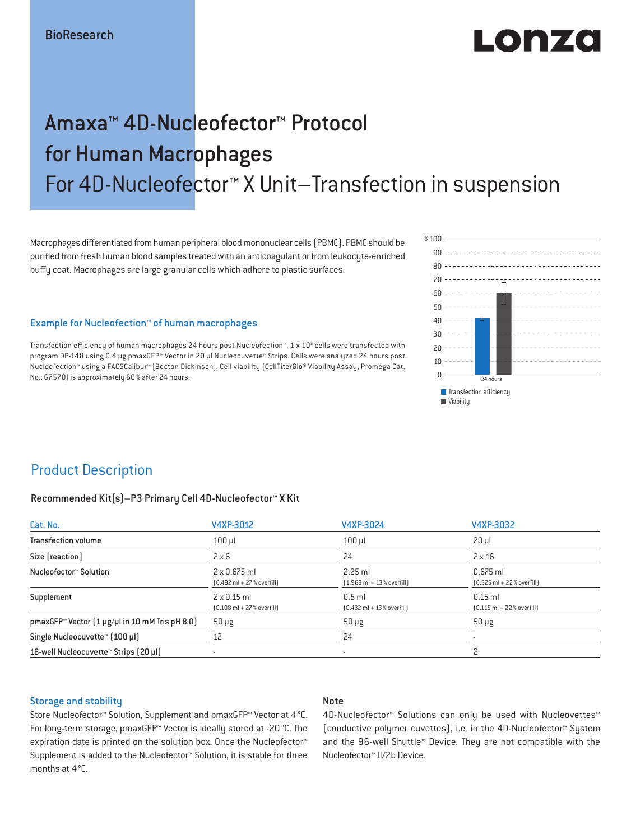# LO DE 20

# Amaxa™ 4D-Nucleofector™ Protocol for Human Macrophages For 4D-Nucleofector™ X Unit–Transfection in suspension

Macrophages differentiated from human peripheral blood mononuclear cells (PBMC). PBMC should be purified from fresh human blood samples treated with an anticoagulant or from leukocyte-enriched buffy coat. Macrophages are large granular cells which adhere to plastic surfaces.

#### Example for Nucleofection™ of human macrophages

Transfection efficiency of human macrophages 24 hours post Nucleofection™. 1 x 10<sup>5</sup> cells were transfected with program DP-148 using 0.4 μg pmaxGFP™ Vector in 20 μl Nucleocuvette™ Strips. Cells were analyzed 24 hours post Nucleofection™ using a FACSCalibur™ [Becton Dickinson]. Cell viability (CellTiterGlo® Viability Assay, Promega Cat. No.: G7570) is approximately 60 % after 24 hours.



# Product Description

#### Recommended Kit(s)–P3 Primary Cell 4D-Nucleofector™ X Kit

| Cat. No.                                                           | V4XP-3012                                                           | V4XP-3024                                                | V4XP-3032                                                  |  |
|--------------------------------------------------------------------|---------------------------------------------------------------------|----------------------------------------------------------|------------------------------------------------------------|--|
| <b>Transfection volume</b>                                         | $100$ $\mu$                                                         | $100$ $\mu$                                              | $20 \mu$                                                   |  |
| Size [reaction]                                                    | $2 \times 6$                                                        | 24                                                       | $2 \times 16$                                              |  |
| Nucleofector™ Solution                                             | $2 \times 0.675$ ml<br>$[0.492 \text{ ml} + 27 \text{ %} overfill]$ | $2.25$ ml<br>$[1.968 \text{ ml} + 13 % \text{overfill}]$ | $0.675$ ml<br>$[0.525 \text{ ml} + 22 \text{ % overfill}]$ |  |
| Supplement                                                         | $2 \times 0.15$ ml<br>$[0.108 \text{ ml} + 27 \text{ %} overfill]$  | $0.5$ ml<br>$[0.432 \text{ ml} + 13 \text{ %} overfill]$ | $0.15$ ml<br>$[0.115 \text{ ml} + 22 \text{ % overfill}]$  |  |
| pmaxGFP <sup>*</sup> Vector $(1 \mu g/\mu l$ in 10 mM Tris pH 8.0) | $50 \mu g$                                                          | $50 \mu g$                                               | $50 \mu g$                                                 |  |
| Single Nucleocuvette™ [100 µl]                                     | 12                                                                  | 24                                                       |                                                            |  |
| 16-well Nucleocuvette <sup>™</sup> Strips [20 µl]                  | $\overline{\phantom{a}}$                                            | $\sim$                                                   |                                                            |  |

#### Storage and stability

#### Note

Store Nucleofector™ Solution, Supplement and pmaxGFP™ Vector at 4 °C. For long-term storage, pmaxGFP™ Vector is ideally stored at -20 °C. The expiration date is printed on the solution box. Once the Nucleofector™ Supplement is added to the Nucleofector™ Solution, it is stable for three months at 4 °C.

4D-Nucleofector™ Solutions can only be used with Nucleovettes™ (conductive polymer cuvettes), i.e. in the 4D-Nucleofector™ System and the 96-well Shuttle™ Device. They are not compatible with the Nucleofector™ II/2b Device.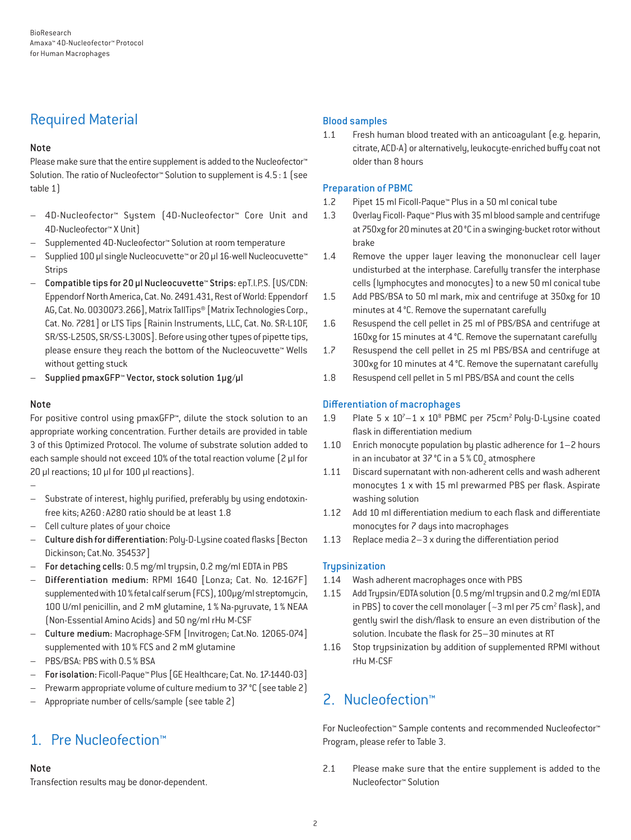# Required Material

## Note

Please make sure that the entire supplement is added to the Nucleofector<sup>™</sup> Solution. The ratio of Nucleofector™ Solution to supplement is 4.5:1 (see table 1)

- 4D-Nucleofector™ System (4D-Nucleofector™ Core Unit and 4D-Nucleofector™ X Unit)
- Supplemented 4D-Nucleofector™ Solution at room temperature
- Supplied 100 µl single Nucleocuvette™ or 20 µl 16-well Nucleocuvette™ **Strips**
- Compatible tips for 20 µl Nucleocuvette™ Strips: epT.I.P.S. [US/CDN: Eppendorf North America, Cat. No. 2491.431, Rest of World: Eppendorf AG, Cat. No. 0030073.266], Matrix TallTips® [Matrix Technologies Corp., Cat. No. 7281] or LTS Tips [Rainin Instruments, LLC, Cat. No. SR-L10F, SR/SS-L250S, SR/SS-L300S]. Before using other types of pipette tips, please ensure they reach the bottom of the Nucleocuvette™ Wells without getting stuck
- Supplied pmaxGFP™ Vector, stock solution 1µg/µl

### Note

For positive control using pmaxGFP™, dilute the stock solution to an appropriate working concentration. Further details are provided in table 3 of this Optimized Protocol. The volume of substrate solution added to each sample should not exceed 10% of the total reaction volume [2 µl for 20 µl reactions; 10 µl for 100 µl reactions).

–

- Substrate of interest, highly purified, preferably by using endotoxinfree kits; A260: A280 ratio should be at least 1.8
- Cell culture plates of your choice
- Culture dish for differentiation: Poly-D-Lysine coated flasks [Becton Dickinson; Cat.No. 354537]
- For detaching cells: 0.5 mg/ml trypsin, 0.2 mg/ml EDTA in PBS
- Differentiation medium: RPMI 1640 [Lonza; Cat. No. 12-167F] supplemented with 10% fetal calf serum (FCS), 100μg/ml streptomycin, 100 U/ml penicillin, and 2 mM glutamine, 1% Na-pyruvate, 1% NEAA (Non-Essential Amino Acids) and 50 ng/ml rHu M-CSF
- Culture medium: Macrophage-SFM [Invitrogen; Cat.No. 12065-074] supplemented with 10% FCS and 2 mM glutamine
- PBS/BSA: PBS with 0.5% BSA
- For isolation: Ficoll-Paque™ Plus [GE Healthcare; Cat. No. 17-1440-03]
- Prewarm appropriate volume of culture medium to 37 °C (see table 2)
- Appropriate number of cells/sample (see table 2)

# 1. Pre Nucleofection™

## Note

Transfection results may be donor-dependent.

## Blood samples

1.1 Fresh human blood treated with an anticoagulant (e.g. heparin, citrate, ACD-A) or alternatively, leukocyte-enriched buffy coat not older than 8 hours

## Preparation of PBMC

- 1.2 Pipet 15 ml Ficoll-Paque™ Plus in a 50 ml conical tube
- 1.3 Overlay Ficoll- Paque™ Plus with 35 ml blood sample and centrifuge at 750xg for 20 minutes at 20°C in a swinging-bucket rotor without brake
- 1.4 Remove the upper layer leaving the mononuclear cell layer undisturbed at the interphase. Carefully transfer the interphase cells (lymphocytes and monocytes) to a new 50 ml conical tube
- 1.5 Add PBS/BSA to 50 ml mark, mix and centrifuge at 350xg for 10 minutes at 4°C. Remove the supernatant carefully
- 1.6 Resuspend the cell pellet in 25 ml of PBS/BSA and centrifuge at 160xg for 15 minutes at 4°C. Remove the supernatant carefully
- 1.7 Resuspend the cell pellet in 25 ml PBS/BSA and centrifuge at 300xg for 10 minutes at 4°C. Remove the supernatant carefully
- 1.8 Resuspend cell pellet in 5 ml PBS/BSA and count the cells

# Differentiation of macrophages

- 1.9 Plate 5 x 10<sup>7</sup>-1 x 10<sup>8</sup> PBMC per 75cm<sup>2</sup> Poly-D-Lysine coated flask in differentiation medium
- 1.10 Enrich monocyte population by plastic adherence for 1–2 hours in an incubator at 37 °C in a 5 % CO<sub>2</sub> atmosphere
- 1.11 Discard supernatant with non-adherent cells and wash adherent monocytes 1 x with 15 ml prewarmed PBS per flask. Aspirate washing solution
- 1.12 Add 10 ml differentiation medium to each flask and differentiate monocytes for 7 days into macrophages
- 1.13 Replace media 2–3 x during the differentiation period

## **Trypsinization**

- 1.14 Wash adherent macrophages once with PBS
- 1.15 Add Trypsin/EDTA solution (0.5 mg/ml trypsin and 0.2 mg/ml EDTA in PBS) to cover the cell monolayer  $\left(-3 \text{ ml per } 75 \text{ cm}^2 \text{ flask}\right)$ , and gently swirl the dish/flask to ensure an even distribution of the solution. Incubate the flask for 25–30 minutes at RT
- 1.16 Stop trypsinization by addition of supplemented RPMI without rHu M-CSF

# 2. Nucleofection™

For Nucleofection™ Sample contents and recommended Nucleofector™ Program, please refer to Table 3.

2.1 Please make sure that the entire supplement is added to the Nucleofector™ Solution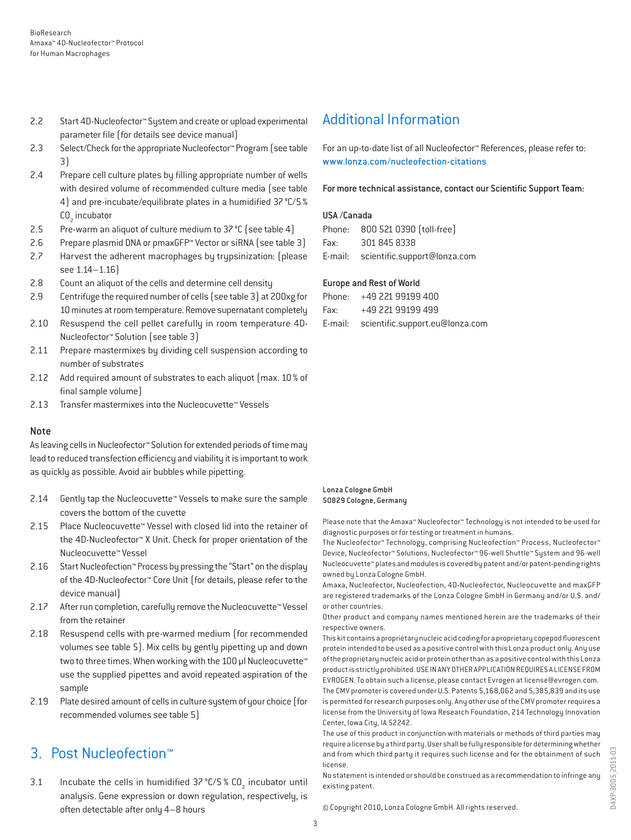- 2.2 Start 4D-Nucleofector™ System and create or upload experimental parameter file (for details see device manual)
- 2.3 Select/Check for the appropriate Nucleofector™ Program (see table 3)
- 2.4 Prepare cell culture plates by filling appropriate number of wells with desired volume of recommended culture media (see table 4) and pre-incubate/equilibrate plates in a humidified 37°C/5% CO<sub>2</sub> incubator
- 2.5 Pre-warm an aliquot of culture medium to 37 °C (see table 4)
- 2.6 Prepare plasmid DNA or pmaxGFP™ Vector or siRNA (see table 3)
- 2.7 Harvest the adherent macrophages by trypsinization: (please see 1.14–1.16)
- 2.8 Count an aliquot of the cells and determine cell density
- 2.9 Centrifuge the required number of cells (see table 3) at 200xg for 10 minutes at room temperature. Remove supernatant completely
- 2.10 Resuspend the cell pellet carefully in room temperature 4D-Nucleofector™ Solution (see table 3)
- 2.11 Prepare mastermixes by dividing cell suspension according to number of substrates
- 2.12 Add required amount of substrates to each aliquot (max. 10 % of final sample volume)
- 2.13 Transfer mastermixes into the Nucleocuvette™ Vessels

#### Note

As leaving cells in Nucleofector™ Solution for extended periods of time may lead to reduced transfection efficiency and viability it is important to work as quickly as possible. Avoid air bubbles while pipetting.

- 2.14 Gently tap the Nucleocuvette™ Vessels to make sure the sample covers the bottom of the cuvette
- 2.15 Place Nucleocuvette™ Vessel with closed lid into the retainer of the 4D-Nucleofector™ X Unit. Check for proper orientation of the Nucleocuvette™ Vessel
- 2.16 Start Nucleofection™ Process by pressing the "Start" on the display of the 4D-Nucleofector™ Core Unit (for details, please refer to the device manual)
- 2.17 After run completion, carefully remove the Nucleocuvette™ Vessel from the retainer
- 2.18 Resuspend cells with pre-warmed medium (for recommended volumes see table 5). Mix cells by gently pipetting up and down two to three times. When working with the 100 µl Nucleocuvette™ use the supplied pipettes and avoid repeated aspiration of the sample
- 2.19 Plate desired amount of cells in culture system of your choice (for recommended volumes see table 5)

# 3. Post Nucleofection™

3.1 Incubate the cells in humidified  $37^{\circ}$ C/5 % CO<sub>2</sub> incubator until analysis. Gene expression or down regulation, respectively, is often detectable after only 4–8 hours

# Additional Information

For an up-to-date list of all Nucleofector™ References, please refer to: www.lonza.com/nucleofection-citations

For more technical assistance, contact our Scientific Support Team:

#### USA /Canada

|      | Phone: 800 521 0390 (toll-free)      |
|------|--------------------------------------|
| Fax: | 301 845 8338                         |
|      | E-mail: scientific.support@lonza.com |

#### Europe and Rest of World

|          | Phone: +49 221 99199 400                |
|----------|-----------------------------------------|
| Fax: Fax | +49 221 99199 499                       |
|          | E-mail: scientific.support.eu@lonza.com |

#### Lonza Cologne GmbH 50829 Cologne, Germany

Please note that the Amaxa™ Nucleofector™ Technology is not intended to be used for diagnostic purposes or for testing or treatment in humans.

The Nucleofector™ Technology, comprising Nucleofection™ Process, Nucleofector™ Device, Nucleofector™ Solutions, Nucleofector™ 96-well Shuttle™ System and 96-well Nucleocuvette™ plates and modules is covered by patent and/or patent-pending rights owned by Lonza Cologne GmbH.

Amaxa, Nucleofector, Nucleofection, 4D-Nucleofector, Nucleocuvette and maxGFP are registered trademarks of the Lonza Cologne GmbH in Germany and/or U.S. and/ or other countries.

Other product and company names mentioned herein are the trademarks of their respective owners.

This kit contains a proprietary nucleic acid coding for a proprietary copepod fluorescent protein intended to be used as a positive control with this Lonza product only. Any use of the proprietary nucleic acid or protein other than as a positive control with this Lonza product is strictly prohibited. USE IN ANY OTHER APPLICATION REQUIRES A LICENSE FROM EVROGEN. To obtain such a license, please contact Evrogen at license@evrogen.com. The CMV promoter is covered under U.S. Patents 5,168,062 and 5,385,839 and its use is permitted for research purposes only. Any other use of the CMV promoter requires a license from the University of Iowa Research Foundation, 214 Technology Innovation Center, Iowa City, IA 52242.

The use of this product in conjunction with materials or methods of third parties may require a license by a third party. User shall be fully responsible for determining whether and from which third party it requires such license and for the obtainment of such license.

No statement is intended or should be construed as a recommendation to infringe any existing patent.

© Copyright 2010, Lonza Cologne GmbH. All rights reserved.